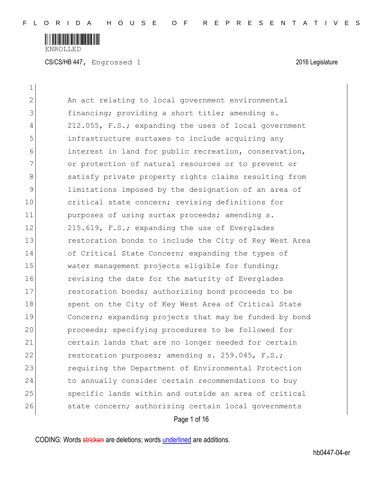

 $\mathbf{1}$ 

| $\mathbf{2}$ | An act relating to local government environmental      |
|--------------|--------------------------------------------------------|
| 3            | financing; providing a short title; amending s.        |
| 4            | 212.055, F.S.; expanding the uses of local government  |
| 5            | infrastructure surtaxes to include acquiring any       |
| 6            | interest in land for public recreation, conservation,  |
| 7            | or protection of natural resources or to prevent or    |
| 8            | satisfy private property rights claims resulting from  |
| 9            | limitations imposed by the designation of an area of   |
| 10           | critical state concern; revising definitions for       |
| 11           | purposes of using surtax proceeds; amending s.         |
| 12           | 215.619, F.S.; expanding the use of Everglades         |
| 13           | restoration bonds to include the City of Key West Area |
| 14           | of Critical State Concern; expanding the types of      |
| 15           | water management projects eligible for funding;        |
| 16           | revising the date for the maturity of Everglades       |
| 17           | restoration bonds; authorizing bond proceeds to be     |
| 18           | spent on the City of Key West Area of Critical State   |
| 19           | Concern; expanding projects that may be funded by bond |
| 20           | proceeds; specifying procedures to be followed for     |
| 21           | certain lands that are no longer needed for certain    |
| 22           | restoration purposes; amending s. 259.045, F.S.;       |
| 23           | requiring the Department of Environmental Protection   |
| 24           | to annually consider certain recommendations to buy    |
| 25           | specific lands within and outside an area of critical  |
| 26           | state concern; authorizing certain local governments   |
|              | Page 1 of 16                                           |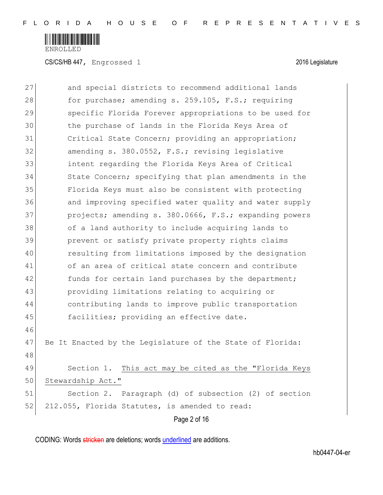

CS/CS/HB 447, Engrossed 1 2016 Legislature

| 27 | and special districts to recommend additional lands       |
|----|-----------------------------------------------------------|
| 28 | for purchase; amending s. 259.105, F.S.; requiring        |
| 29 | specific Florida Forever appropriations to be used for    |
| 30 | the purchase of lands in the Florida Keys Area of         |
| 31 | Critical State Concern; providing an appropriation;       |
| 32 | amending s. 380.0552, F.S.; revising legislative          |
| 33 | intent regarding the Florida Keys Area of Critical        |
| 34 | State Concern; specifying that plan amendments in the     |
| 35 | Florida Keys must also be consistent with protecting      |
| 36 | and improving specified water quality and water supply    |
| 37 | projects; amending s. 380.0666, F.S.; expanding powers    |
| 38 | of a land authority to include acquiring lands to         |
| 39 | prevent or satisfy private property rights claims         |
| 40 | resulting from limitations imposed by the designation     |
| 41 | of an area of critical state concern and contribute       |
| 42 | funds for certain land purchases by the department;       |
| 43 | providing limitations relating to acquiring or            |
| 44 | contributing lands to improve public transportation       |
| 45 | facilities; providing an effective date.                  |
| 46 |                                                           |
| 47 | Be It Enacted by the Legislature of the State of Florida: |
| 48 |                                                           |
| 49 | This act may be cited as the "Florida Keys<br>Section 1.  |
| 50 | Stewardship Act."                                         |
| 51 | Section 2. Paragraph (d) of subsection (2) of section     |
| 52 | 212.055, Florida Statutes, is amended to read:            |
|    | Page 2 of 16                                              |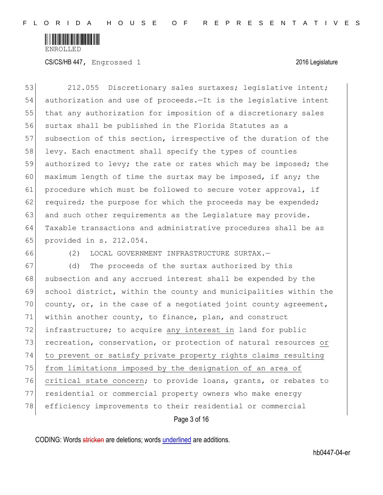

53 212.055 Discretionary sales surtaxes; legislative intent; 54 authorization and use of proceeds.—It is the legislative intent 55 that any authorization for imposition of a discretionary sales 56 surtax shall be published in the Florida Statutes as a 57 subsection of this section, irrespective of the duration of the 58 levy. Each enactment shall specify the types of counties 59 authorized to levy; the rate or rates which may be imposed; the 60 maximum length of time the surtax may be imposed, if any; the 61 procedure which must be followed to secure voter approval, if 62 required; the purpose for which the proceeds may be expended; 63 and such other requirements as the Legislature may provide. 64 Taxable transactions and administrative procedures shall be as 65 provided in s. 212.054.

66 (2) LOCAL GOVERNMENT INFRASTRUCTURE SURTAX.—

Page 3 of 16 67 (d) The proceeds of the surtax authorized by this 68 subsection and any accrued interest shall be expended by the 69 school district, within the county and municipalities within the 70 county, or, in the case of a negotiated joint county agreement, 71 within another county, to finance, plan, and construct 72 infrastructure; to acquire any interest in land for public 73 recreation, conservation, or protection of natural resources or 74 to prevent or satisfy private property rights claims resulting 75 from limitations imposed by the designation of an area of 76 critical state concern; to provide loans, grants, or rebates to 77 residential or commercial property owners who make energy 78 efficiency improvements to their residential or commercial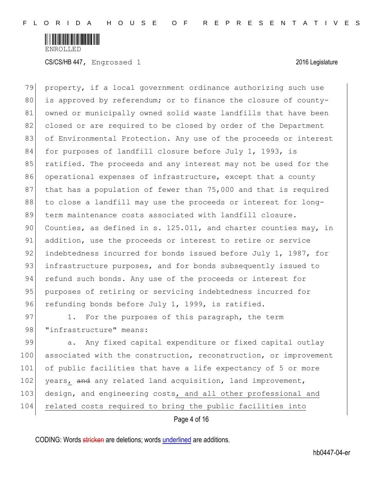

79 property, if a local government ordinance authorizing such use 80 is approved by referendum; or to finance the closure of county-81 owned or municipally owned solid waste landfills that have been 82 closed or are required to be closed by order of the Department 83 of Environmental Protection. Any use of the proceeds or interest 84 for purposes of landfill closure before July 1, 1993, is 85 ratified. The proceeds and any interest may not be used for the 86 operational expenses of infrastructure, except that a county 87 that has a population of fewer than 75,000 and that is required 88 to close a landfill may use the proceeds or interest for long-89 term maintenance costs associated with landfill closure. 90 Counties, as defined in s.  $125.011$ , and charter counties may, in 91 addition, use the proceeds or interest to retire or service 92 indebtedness incurred for bonds issued before July 1, 1987, for 93 infrastructure purposes, and for bonds subsequently issued to 94 refund such bonds. Any use of the proceeds or interest for 95 purposes of retiring or servicing indebtedness incurred for 96 refunding bonds before July 1, 1999, is ratified.

97 1. For the purposes of this paragraph, the term 98 *"infrastructure"* means:

99 a. Any fixed capital expenditure or fixed capital outlay 100 associated with the construction, reconstruction, or improvement 101 of public facilities that have a life expectancy of 5 or more 102 years, and any related land acquisition, land improvement, 103 design, and engineering costs, and all other professional and 104 related costs required to bring the public facilities into

Page 4 of 16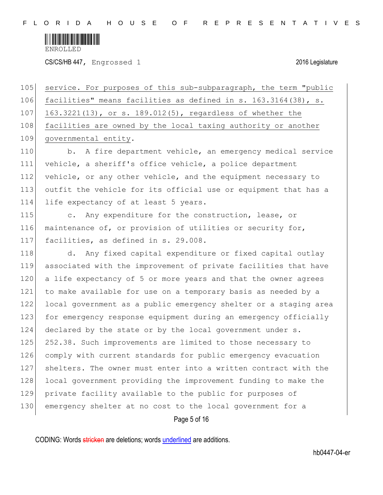

CS/CS/HB 447, Engrossed 1 2016 Legislature

105 service. For purposes of this sub-subparagraph, the term "public 106 facilities" means facilities as defined in s. 163.3164(38), s. 107 163.3221(13), or s. 189.012(5), regardless of whether the 108 facilities are owned by the local taxing authority or another 109 governmental entity.

110 b. A fire department vehicle, an emergency medical service 111 vehicle, a sheriff's office vehicle, a police department 112 vehicle, or any other vehicle, and the equipment necessary to 113 outfit the vehicle for its official use or equipment that has a 114 life expectancy of at least 5 years.

115 c. Any expenditure for the construction, lease, or 116 maintenance of, or provision of utilities or security for, 117 facilities, as defined in s. 29.008.

118 d. Any fixed capital expenditure or fixed capital outlay 119 associated with the improvement of private facilities that have 120 a life expectancy of 5 or more years and that the owner agrees 121 to make available for use on a temporary basis as needed by a 122 local government as a public emergency shelter or a staging area 123 for emergency response equipment during an emergency officially 124 declared by the state or by the local government under s. 125 252.38. Such improvements are limited to those necessary to 126 comply with current standards for public emergency evacuation 127 shelters. The owner must enter into a written contract with the 128 local government providing the improvement funding to make the 129 private facility available to the public for purposes of 130 emergency shelter at no cost to the local government for a

Page 5 of 16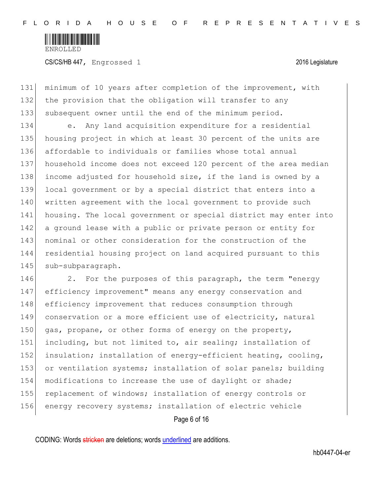

CS/CS/HB 447, Engrossed 1 2016 Legislature

131 minimum of 10 years after completion of the improvement, with 132 the provision that the obligation will transfer to any 133 subsequent owner until the end of the minimum period.

134 e. Any land acquisition expenditure for a residential 135 housing project in which at least 30 percent of the units are 136 affordable to individuals or families whose total annual 137 household income does not exceed 120 percent of the area median 138 income adjusted for household size, if the land is owned by a 139 local government or by a special district that enters into a 140 written agreement with the local government to provide such 141 housing. The local government or special district may enter into 142 a ground lease with a public or private person or entity for 143 nominal or other consideration for the construction of the 144 residential housing project on land acquired pursuant to this 145 sub-subparagraph.

146 2. For the purposes of this paragraph, the term "energy 147 efficiency improvement" means any energy conservation and 148 efficiency improvement that reduces consumption through 149 conservation or a more efficient use of electricity, natural 150 gas, propane, or other forms of energy on the property, 151 including, but not limited to, air sealing; installation of 152 insulation; installation of energy-efficient heating, cooling, 153 or ventilation systems; installation of solar panels; building 154 modifications to increase the use of daylight or shade; 155 replacement of windows; installation of energy controls or 156 energy recovery systems; installation of electric vehicle

Page 6 of 16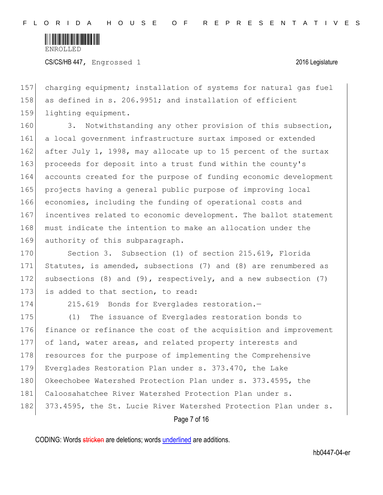

CS/CS/HB 447, Engrossed 1 2016 Legislature

157 charging equipment; installation of systems for natural gas fuel 158 as defined in s. 206.9951; and installation of efficient 159 lighting equipment.

160 3. Notwithstanding any other provision of this subsection, 161 a local government infrastructure surtax imposed or extended 162 after July 1, 1998, may allocate up to 15 percent of the surtax 163 proceeds for deposit into a trust fund within the county's 164 accounts created for the purpose of funding economic development 165 projects having a general public purpose of improving local 166 economies, including the funding of operational costs and 167 incentives related to economic development. The ballot statement 168 must indicate the intention to make an allocation under the 169 authority of this subparagraph.

170 Section 3. Subsection (1) of section 215.619, Florida 171 Statutes, is amended, subsections (7) and (8) are renumbered as 172 subsections (8) and (9), respectively, and a new subsection (7) 173 is added to that section, to read:

174 215.619 Bonds for Everglades restoration.

175 (1) The issuance of Everglades restoration bonds to 176 finance or refinance the cost of the acquisition and improvement 177 of land, water areas, and related property interests and 178 resources for the purpose of implementing the Comprehensive 179 Everglades Restoration Plan under s. 373.470, the Lake 180 Okeechobee Watershed Protection Plan under s. 373.4595, the 181 Caloosahatchee River Watershed Protection Plan under s. 182 373.4595, the St. Lucie River Watershed Protection Plan under s.

Page 7 of 16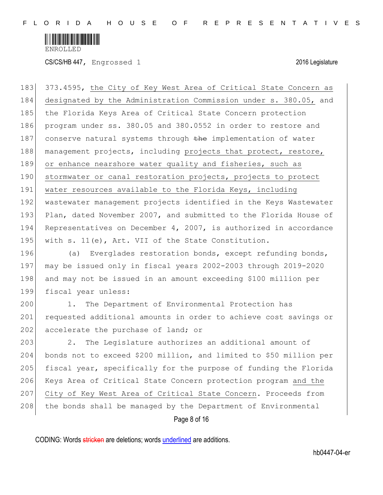

CS/CS/HB 447, Engrossed 1 2016 Legislature

183 373.4595, the City of Key West Area of Critical State Concern as 184 designated by the Administration Commission under s. 380.05, and 185 the Florida Keys Area of Critical State Concern protection 186 program under ss. 380.05 and 380.0552 in order to restore and 187 conserve natural systems through the implementation of water 188 management projects, including projects that protect, restore, 189 or enhance nearshore water quality and fisheries, such as 190 stormwater or canal restoration projects, projects to protect 191 water resources available to the Florida Keys, including 192 wastewater management projects identified in the Keys Wastewater 193 Plan, dated November 2007, and submitted to the Florida House of 194 Representatives on December 4, 2007, is authorized in accordance 195 with s. 11(e), Art. VII of the State Constitution.

196 (a) Everglades restoration bonds, except refunding bonds, 197 may be issued only in fiscal years 2002-2003 through 2019-2020 198 and may not be issued in an amount exceeding \$100 million per 199 fiscal year unless:

200 1. The Department of Environmental Protection has 201 requested additional amounts in order to achieve cost savings or 202 accelerate the purchase of land; or

203 2. The Legislature authorizes an additional amount of 204 bonds not to exceed \$200 million, and limited to \$50 million per 205 fiscal year, specifically for the purpose of funding the Florida 206 Keys Area of Critical State Concern protection program and the 207 City of Key West Area of Critical State Concern. Proceeds from 208 the bonds shall be managed by the Department of Environmental

Page 8 of 16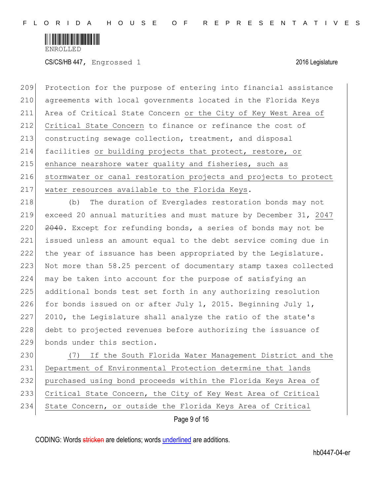

CS/CS/HB 447, Engrossed 1 2016 Legislature

209 Protection for the purpose of entering into financial assistance 210 agreements with local governments located in the Florida Keys 211 Area of Critical State Concern or the City of Key West Area of 212 Critical State Concern to finance or refinance the cost of 213 constructing sewage collection, treatment, and disposal 214 facilities or building projects that protect, restore, or 215 enhance nearshore water quality and fisheries, such as 216 stormwater or canal restoration projects and projects to protect 217 water resources available to the Florida Keys.

218 (b) The duration of Everglades restoration bonds may not 219 exceed 20 annual maturities and must mature by December 31, 2047 220  $\overline{2040}$ . Except for refunding bonds, a series of bonds may not be 221 issued unless an amount equal to the debt service coming due in 222 the year of issuance has been appropriated by the Legislature. 223 Not more than 58.25 percent of documentary stamp taxes collected 224 may be taken into account for the purpose of satisfying an 225 additional bonds test set forth in any authorizing resolution 226 for bonds issued on or after July 1, 2015. Beginning July 1, 227 2010, the Legislature shall analyze the ratio of the state's 228 debt to projected revenues before authorizing the issuance of 229 bonds under this section.

 (7) If the South Florida Water Management District and the 231 Department of Environmental Protection determine that lands purchased using bond proceeds within the Florida Keys Area of Critical State Concern, the City of Key West Area of Critical State Concern, or outside the Florida Keys Area of Critical

Page 9 of 16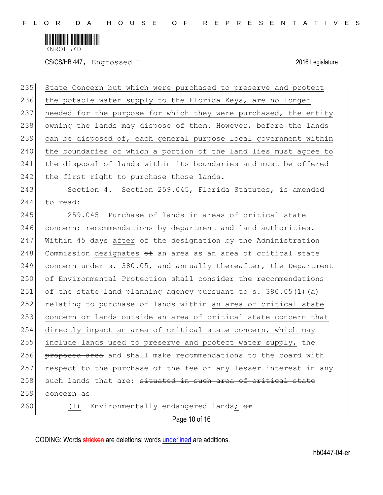

CS/CS/HB 447, Engrossed 1 2016 Legislature

| 235 | State Concern but which were purchased to preserve and protect      |
|-----|---------------------------------------------------------------------|
| 236 | the potable water supply to the Florida Keys, are no longer         |
| 237 | needed for the purpose for which they were purchased, the entity    |
| 238 | owning the lands may dispose of them. However, before the lands     |
| 239 | can be disposed of, each general purpose local government within    |
| 240 | the boundaries of which a portion of the land lies must agree to    |
| 241 | the disposal of lands within its boundaries and must be offered     |
| 242 | the first right to purchase those lands.                            |
| 243 | Section 4. Section 259.045, Florida Statutes, is amended            |
| 244 | to read:                                                            |
| 245 | 259.045 Purchase of lands in areas of critical state                |
| 246 | concern; recommendations by department and land authorities.-       |
| 247 | Within 45 days after of the designation by the Administration       |
| 248 | Commission designates $\Theta$ an area as an area of critical state |
| 249 | concern under s. 380.05, and annually thereafter, the Department    |
| 250 | of Environmental Protection shall consider the recommendations      |
| 251 | of the state land planning agency pursuant to s. $380.05(1)$ (a)    |
| 252 | relating to purchase of lands within an area of critical state      |
| 253 | concern or lands outside an area of critical state concern that     |
| 254 | directly impact an area of critical state concern, which may        |
| 255 | include lands used to preserve and protect water supply, the        |
| 256 | proposed area and shall make recommendations to the board with      |
| 257 | respect to the purchase of the fee or any lesser interest in any    |
| 258 | such lands that are: situated in such area of critical state        |
| 259 | concern as                                                          |
| 260 | Environmentally endangered lands; or<br>(1)                         |
|     | Page 10 of 16                                                       |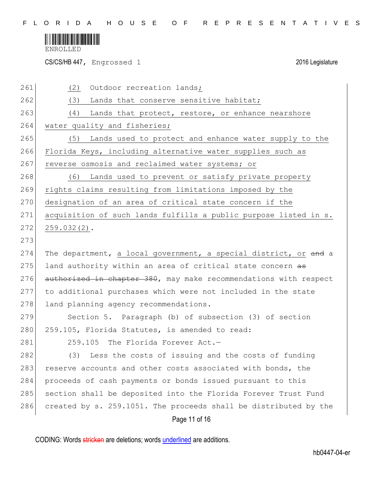

CS/CS/HB 447, Engrossed 1 2016 Legislature

| 261 | (2)<br>Outdoor recreation lands;                                 |
|-----|------------------------------------------------------------------|
| 262 | (3)<br>Lands that conserve sensitive habitat;                    |
| 263 | (4) Lands that protect, restore, or enhance nearshore            |
| 264 | water quality and fisheries;                                     |
| 265 | Lands used to protect and enhance water supply to the<br>(5)     |
| 266 | Florida Keys, including alternative water supplies such as       |
| 267 | reverse osmosis and reclaimed water systems; or                  |
| 268 | Lands used to prevent or satisfy private property<br>(6)         |
| 269 | rights claims resulting from limitations imposed by the          |
| 270 | designation of an area of critical state concern if the          |
| 271 | acquisition of such lands fulfills a public purpose listed in s. |
| 272 | $259.032(2)$ .                                                   |
| 273 |                                                                  |
| 274 | The department, a local government, a special district, or and a |
| 275 | land authority within an area of critical state concern as       |
| 276 | authorized in chapter 380, may make recommendations with respect |
| 277 | to additional purchases which were not included in the state     |
| 278 | land planning agency recommendations.                            |
| 279 | Section 5. Paragraph (b) of subsection (3) of section            |
| 280 | 259.105, Florida Statutes, is amended to read:                   |
| 281 | 259.105 The Florida Forever Act.-                                |
| 282 | (3) Less the costs of issuing and the costs of funding           |
| 283 | reserve accounts and other costs associated with bonds, the      |
| 284 | proceeds of cash payments or bonds issued pursuant to this       |
| 285 | section shall be deposited into the Florida Forever Trust Fund   |
| 286 | created by s. 259.1051. The proceeds shall be distributed by the |
|     | Page 11 of 16                                                    |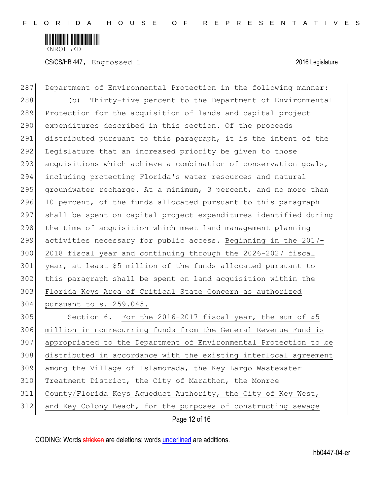

CS/CS/HB 447, Engrossed 1 2016 Legislature

Page 12 of 16 287 Department of Environmental Protection in the following manner: 288 (b) Thirty-five percent to the Department of Environmental 289 Protection for the acquisition of lands and capital project 290 expenditures described in this section. Of the proceeds 291 distributed pursuant to this paragraph, it is the intent of the 292 Legislature that an increased priority be given to those 293 acquisitions which achieve a combination of conservation goals, 294 including protecting Florida's water resources and natural 295 groundwater recharge. At a minimum, 3 percent, and no more than  $296$  10 percent, of the funds allocated pursuant to this paragraph 297 shall be spent on capital project expenditures identified during 298 the time of acquisition which meet land management planning 299 activities necessary for public access. Beginning in the 2017- 300 2018 fiscal year and continuing through the 2026-2027 fiscal 301 year, at least \$5 million of the funds allocated pursuant to 302 this paragraph shall be spent on land acquisition within the 303 Florida Keys Area of Critical State Concern as authorized 304 pursuant to s. 259.045. 305 Section 6. For the 2016-2017 fiscal year, the sum of \$5 306 million in nonrecurring funds from the General Revenue Fund is 307 appropriated to the Department of Environmental Protection to be 308 distributed in accordance with the existing interlocal agreement 309 among the Village of Islamorada, the Key Largo Wastewater 310 Treatment District, the City of Marathon, the Monroe 311 County/Florida Keys Aqueduct Authority, the City of Key West, 312 and Key Colony Beach, for the purposes of constructing sewage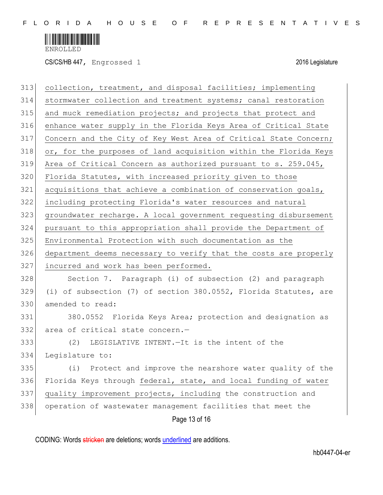

CS/CS/HB 447, Engrossed 1 2016 Legislature

| 313 | collection, treatment, and disposal facilities; implementing     |
|-----|------------------------------------------------------------------|
| 314 | stormwater collection and treatment systems; canal restoration   |
| 315 | and muck remediation projects; and projects that protect and     |
| 316 | enhance water supply in the Florida Keys Area of Critical State  |
| 317 | Concern and the City of Key West Area of Critical State Concern; |
| 318 | or, for the purposes of land acquisition within the Florida Keys |
| 319 | Area of Critical Concern as authorized pursuant to s. 259.045,   |
| 320 | Florida Statutes, with increased priority given to those         |
| 321 | acquisitions that achieve a combination of conservation goals,   |
| 322 | including protecting Florida's water resources and natural       |
| 323 | groundwater recharge. A local government requesting disbursement |
| 324 | pursuant to this appropriation shall provide the Department of   |
| 325 | Environmental Protection with such documentation as the          |
| 326 | department deems necessary to verify that the costs are properly |
| 327 | incurred and work has been performed.                            |
| 328 | Section 7. Paragraph (i) of subsection (2) and paragraph         |
| 329 | (i) of subsection (7) of section 380.0552, Florida Statutes, are |
| 330 | amended to read:                                                 |
| 331 | 380.0552 Florida Keys Area; protection and designation as        |
| 332 | area of critical state concern.-                                 |
| 333 | (2) LEGISLATIVE INTENT. - It is the intent of the                |
| 334 | Legislature to:                                                  |
| 335 | Protect and improve the nearshore water quality of the<br>(i)    |
| 336 | Florida Keys through federal, state, and local funding of water  |
| 337 | quality improvement projects, including the construction and     |
| 338 | operation of wastewater management facilities that meet the      |
|     | Page 13 of 16                                                    |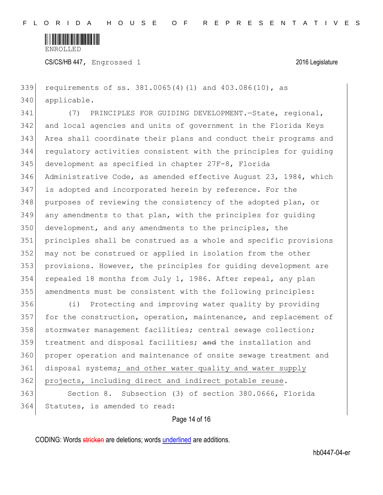

CS/CS/HB 447, Engrossed 1 2016 Legislature

 requirements of ss. 381.0065(4)(l) and 403.086(10), as applicable.

 (7) PRINCIPLES FOR GUIDING DEVELOPMENT.—State, regional, and local agencies and units of government in the Florida Keys Area shall coordinate their plans and conduct their programs and regulatory activities consistent with the principles for guiding development as specified in chapter 27F-8, Florida Administrative Code, as amended effective August 23, 1984, which is adopted and incorporated herein by reference. For the purposes of reviewing the consistency of the adopted plan, or any amendments to that plan, with the principles for guiding development, and any amendments to the principles, the principles shall be construed as a whole and specific provisions may not be construed or applied in isolation from the other provisions. However, the principles for guiding development are repealed 18 months from July 1, 1986. After repeal, any plan amendments must be consistent with the following principles:

 (i) Protecting and improving water quality by providing 357 for the construction, operation, maintenance, and replacement of 358 stormwater management facilities; central sewage collection; 359 treatment and disposal facilities; and the installation and proper operation and maintenance of onsite sewage treatment and 361 disposal systems; and other water quality and water supply 362 projects, including direct and indirect potable reuse. Section 8. Subsection (3) of section 380.0666, Florida

Statutes, is amended to read:

## Page 14 of 16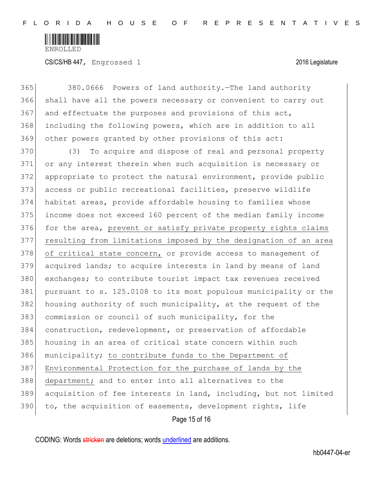

| 365 | 380.0666 Powers of land authority. The land authority            |
|-----|------------------------------------------------------------------|
| 366 | shall have all the powers necessary or convenient to carry out   |
| 367 | and effectuate the purposes and provisions of this act,          |
| 368 | including the following powers, which are in addition to all     |
| 369 | other powers granted by other provisions of this act:            |
| 370 | To acquire and dispose of real and personal property<br>(3)      |
| 371 | or any interest therein when such acquisition is necessary or    |
| 372 | appropriate to protect the natural environment, provide public   |
| 373 | access or public recreational facilities, preserve wildlife      |
| 374 | habitat areas, provide affordable housing to families whose      |
| 375 | income does not exceed 160 percent of the median family income   |
| 376 | for the area, prevent or satisfy private property rights claims  |
| 377 | resulting from limitations imposed by the designation of an area |
| 378 | of critical state concern, or provide access to management of    |
| 379 | acquired lands; to acquire interests in land by means of land    |
| 380 | exchanges; to contribute tourist impact tax revenues received    |
| 381 | pursuant to s. 125.0108 to its most populous municipality or the |
| 382 | housing authority of such municipality, at the request of the    |
| 383 | commission or council of such municipality, for the              |
| 384 | construction, redevelopment, or preservation of affordable       |
| 385 | housing in an area of critical state concern within such         |
| 386 | municipality; to contribute funds to the Department of           |
| 387 | Environmental Protection for the purchase of lands by the        |
| 388 | department; and to enter into all alternatives to the            |
| 389 | acquisition of fee interests in land, including, but not limited |
| 390 | to, the acquisition of easements, development rights, life       |
|     | Page 15 of 16                                                    |